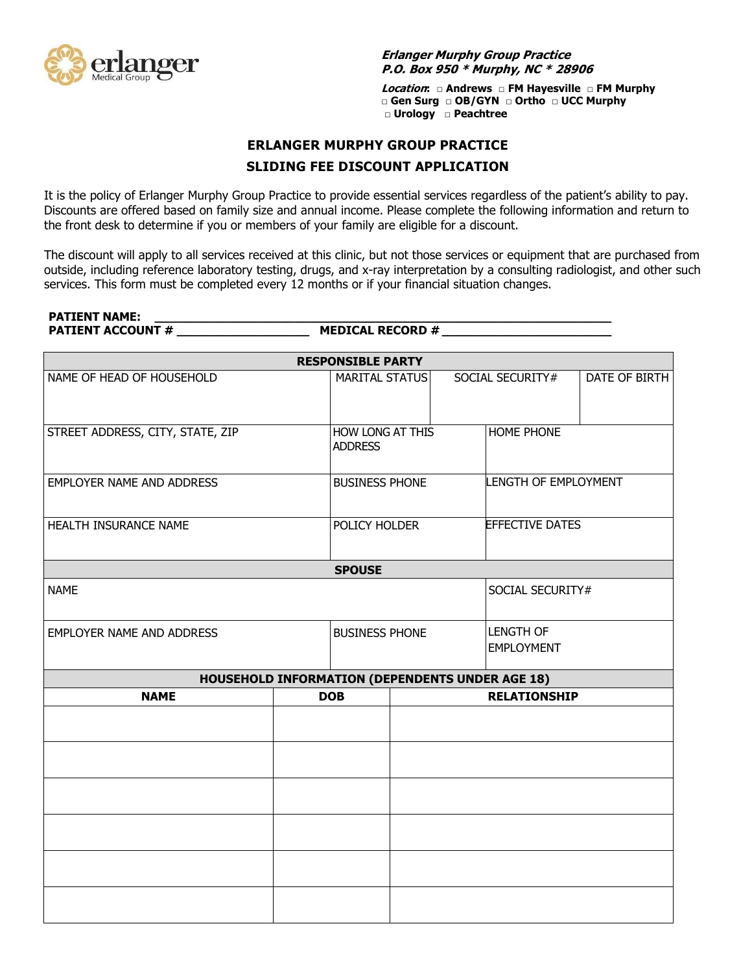

**Erlanger Murphy Group Practice P.O. Box 950 \* Murphy, NC \* 28906**

**Location: □ Andrews □ FM Hayesville □ FM Murphy □ Gen Surg □ OB/GYN □ Ortho □ UCC Murphy □ Urology □ Peachtree** 

## **ERLANGER MURPHY GROUP PRACTICE SLIDING FEE DISCOUNT APPLICATION**

It is the policy of Erlanger Murphy Group Practice to provide essential services regardless of the patient's ability to pay. Discounts are offered based on family size and annual income. Please complete the following information and return to the front desk to determine if you or members of your family are eligible for a discount.

The discount will apply to all services received at this clinic, but not those services or equipment that are purchased from outside, including reference laboratory testing, drugs, and x-ray interpretation by a consulting radiologist, and other such services. This form must be completed every 12 months or if your financial situation changes.

**PATIENT NAME: \_\_\_\_\_\_\_\_\_\_\_\_\_\_\_\_\_\_\_\_\_\_\_\_\_\_\_\_\_\_\_\_\_\_\_\_\_\_\_\_\_\_\_\_\_\_\_\_\_\_\_\_\_\_\_\_\_\_\_\_\_\_**

**PATIENT ACCOUNT # \_\_\_\_\_\_\_\_\_\_\_\_\_\_\_\_\_\_ MEDICAL RECORD # \_\_\_\_\_\_\_\_\_\_\_\_\_\_\_\_\_\_\_\_\_\_\_**

| <b>RESPONSIBLE PARTY</b>                               |            |                                    |                     |                                       |                  |               |  |  |  |
|--------------------------------------------------------|------------|------------------------------------|---------------------|---------------------------------------|------------------|---------------|--|--|--|
| NAME OF HEAD OF HOUSEHOLD                              |            | <b>MARITAL STATUS</b>              |                     |                                       | SOCIAL SECURITY# | DATE OF BIRTH |  |  |  |
| STREET ADDRESS, CITY, STATE, ZIP                       |            | HOW LONG AT THIS<br><b>ADDRESS</b> |                     | HOME PHONE                            |                  |               |  |  |  |
| EMPLOYER NAME AND ADDRESS                              |            | <b>BUSINESS PHONE</b>              |                     | LENGTH OF EMPLOYMENT                  |                  |               |  |  |  |
| HEALTH INSURANCE NAME                                  |            | POLICY HOLDER                      |                     | <b>EFFECTIVE DATES</b>                |                  |               |  |  |  |
| <b>SPOUSE</b>                                          |            |                                    |                     |                                       |                  |               |  |  |  |
| <b>NAME</b>                                            |            |                                    |                     |                                       | SOCIAL SECURITY# |               |  |  |  |
| <b>EMPLOYER NAME AND ADDRESS</b>                       |            | <b>BUSINESS PHONE</b>              |                     | <b>LENGTH OF</b><br><b>EMPLOYMENT</b> |                  |               |  |  |  |
| <b>HOUSEHOLD INFORMATION (DEPENDENTS UNDER AGE 18)</b> |            |                                    |                     |                                       |                  |               |  |  |  |
| <b>NAME</b>                                            | <b>DOB</b> |                                    | <b>RELATIONSHIP</b> |                                       |                  |               |  |  |  |
|                                                        |            |                                    |                     |                                       |                  |               |  |  |  |
|                                                        |            |                                    |                     |                                       |                  |               |  |  |  |
|                                                        |            |                                    |                     |                                       |                  |               |  |  |  |
|                                                        |            |                                    |                     |                                       |                  |               |  |  |  |
|                                                        |            |                                    |                     |                                       |                  |               |  |  |  |